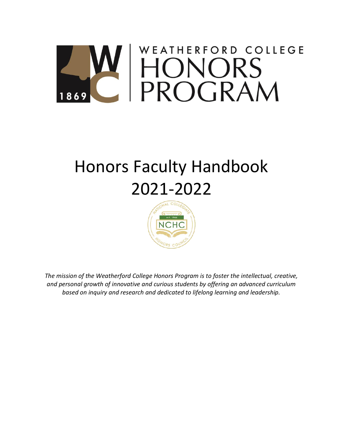# WEATHERFORD COLLEGE HONORS<br>PROGRAM 869

# Honors Faculty Handbook 2021-2022



*The mission of the Weatherford College Honors Program is to foster the intellectual, creative, and personal growth of innovative and curious students by offering an advanced curriculum based on inquiry and research and dedicated to lifelong learning and leadership.*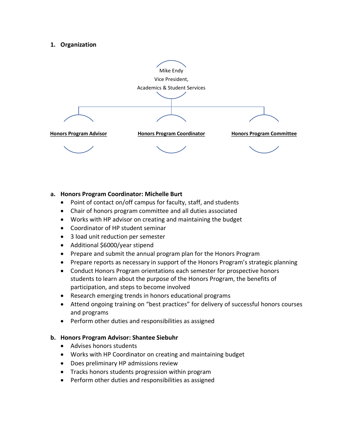#### **1. Organization**



#### **a. Honors Program Coordinator: Michelle Burt**

- Point of contact on/off campus for faculty, staff, and students
- Chair of honors program committee and all duties associated
- Works with HP advisor on creating and maintaining the budget
- Coordinator of HP student seminar
- 3 load unit reduction per semester
- Additional \$6000/year stipend
- Prepare and submit the annual program plan for the Honors Program
- Prepare reports as necessary in support of the Honors Program's strategic planning
- Conduct Honors Program orientations each semester for prospective honors students to learn about the purpose of the Honors Program, the benefits of participation, and steps to become involved
- Research emerging trends in honors educational programs
- Attend ongoing training on "best practices" for delivery of successful honors courses and programs
- Perform other duties and responsibilities as assigned

#### **b. Honors Program Advisor: Shantee Siebuhr**

- Advises honors students
- Works with HP Coordinator on creating and maintaining budget
- Does preliminary HP admissions review
- Tracks honors students progression within program
- Perform other duties and responsibilities as assigned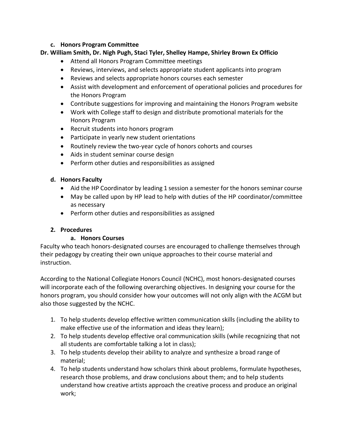# **c. Honors Program Committee**

#### **Dr. William Smith, Dr. Nigh Pugh, Staci Tyler, Shelley Hampe, Shirley Brown Ex Officio**

- Attend all Honors Program Committee meetings
- Reviews, interviews, and selects appropriate student applicants into program
- Reviews and selects appropriate honors courses each semester
- Assist with development and enforcement of operational policies and procedures for the Honors Program
- Contribute suggestions for improving and maintaining the Honors Program website
- Work with College staff to design and distribute promotional materials for the Honors Program
- Recruit students into honors program
- Participate in yearly new student orientations
- Routinely review the two-year cycle of honors cohorts and courses
- Aids in student seminar course design
- Perform other duties and responsibilities as assigned

# **d. Honors Faculty**

- Aid the HP Coordinator by leading 1 session a semester for the honors seminar course
- May be called upon by HP lead to help with duties of the HP coordinator/committee as necessary
- Perform other duties and responsibilities as assigned

# **2. Procedures**

# **a. Honors Courses**

Faculty who teach honors-designated courses are encouraged to challenge themselves through their pedagogy by creating their own unique approaches to their course material and instruction.

According to the National Collegiate Honors Council (NCHC), most honors-designated courses will incorporate each of the following overarching objectives. In designing your course for the honors program, you should consider how your outcomes will not only align with the ACGM but also those suggested by the NCHC.

- 1. To help students develop effective written communication skills (including the ability to make effective use of the information and ideas they learn);
- 2. To help students develop effective oral communication skills (while recognizing that not all students are comfortable talking a lot in class);
- 3. To help students develop their ability to analyze and synthesize a broad range of material;
- 4. To help students understand how scholars think about problems, formulate hypotheses, research those problems, and draw conclusions about them; and to help students understand how creative artists approach the creative process and produce an original work;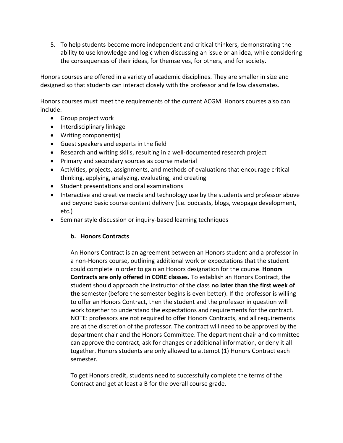5. To help students become more independent and critical thinkers, demonstrating the ability to use knowledge and logic when discussing an issue or an idea, while considering the consequences of their ideas, for themselves, for others, and for society.

Honors courses are offered in a variety of academic disciplines. They are smaller in size and designed so that students can interact closely with the professor and fellow classmates.

Honors courses must meet the requirements of the current ACGM. Honors courses also can include:

- Group project work
- Interdisciplinary linkage
- Writing component(s)
- Guest speakers and experts in the field
- Research and writing skills, resulting in a well-documented research project
- Primary and secondary sources as course material
- Activities, projects, assignments, and methods of evaluations that encourage critical thinking, applying, analyzing, evaluating, and creating
- Student presentations and oral examinations
- Interactive and creative media and technology use by the students and professor above and beyond basic course content delivery (i.e. podcasts, blogs, webpage development, etc.)
- Seminar style discussion or inquiry-based learning techniques

# **b. Honors Contracts**

An Honors Contract is an agreement between an Honors student and a professor in a non-Honors course, outlining additional work or expectations that the student could complete in order to gain an Honors designation for the course. **Honors Contracts are only offered in CORE classes.** To establish an Honors Contract, the student should approach the instructor of the class **no later than the first week of the** semester (before the semester begins is even better). If the professor is willing to offer an Honors Contract, then the student and the professor in question will work together to understand the expectations and requirements for the contract. NOTE: professors are not required to offer Honors Contracts, and all requirements are at the discretion of the professor. The contract will need to be approved by the department chair and the Honors Committee. The department chair and committee can approve the contract, ask for changes or additional information, or deny it all together. Honors students are only allowed to attempt (1) Honors Contract each semester.

To get Honors credit, students need to successfully complete the terms of the Contract and get at least a B for the overall course grade.